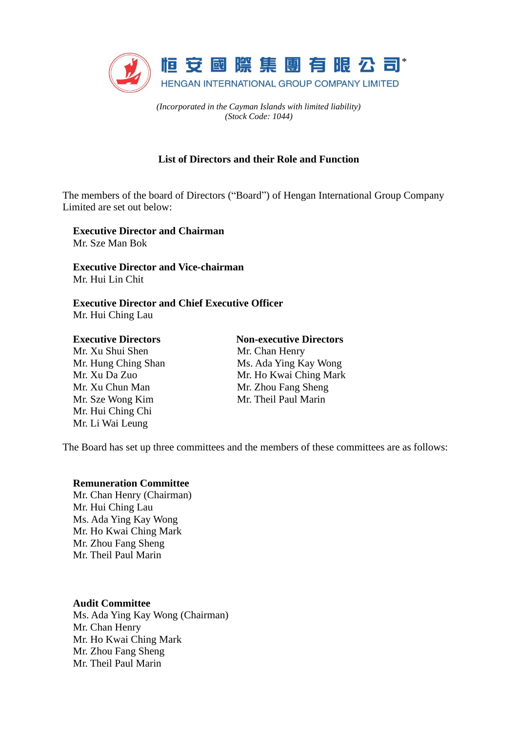

*(Incorporated in the Cayman Islands with limited liability) (Stock Code: 1044)*

# **List of Directors and their Role and Function**

The members of the board of Directors ("Board") of Hengan International Group Company Limited are set out below:

**Executive Director and Chairman** Mr. Sze Man Bok

**Executive Director and Vice-chairman** Mr. Hui Lin Chit

**Executive Director and Chief Executive Officer** Mr. Hui Ching Lau

#### **Executive Directors**

Mr. Xu Shui Shen Mr. Hung Ching Shan Mr. Xu Da Zuo Mr. Xu Chun Man Mr. Sze Wong Kim Mr. Hui Ching Chi Mr. Li Wai Leung

# **Non-executive Directors**

Mr. Chan Henry Ms. Ada Ying Kay Wong Mr. Ho Kwai Ching Mark Mr. Zhou Fang Sheng Mr. Theil Paul Marin

The Board has set up three committees and the members of these committees are as follows:

#### **Remuneration Committee**

Mr. Chan Henry (Chairman) Mr. Hui Ching Lau Ms. Ada Ying Kay Wong Mr. Ho Kwai Ching Mark Mr. Zhou Fang Sheng Mr. Theil Paul Marin

**Audit Committee**

Ms. Ada Ying Kay Wong (Chairman) Mr. Chan Henry Mr. Ho Kwai Ching Mark Mr. Zhou Fang Sheng Mr. Theil Paul Marin